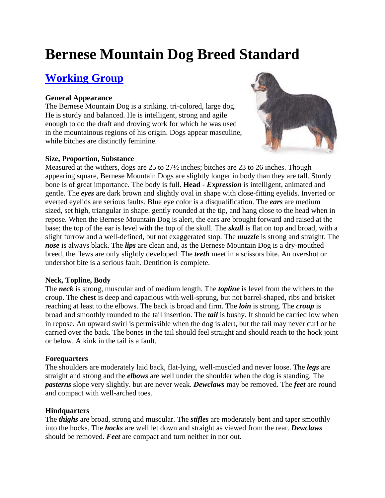# **Bernese Mountain Dog Breed Standard**

## **Working Group**

### **General Appearance**

The Bernese Mountain Dog is a striking. tri-colored, large dog. He is sturdy and balanced. He is intelligent, strong and agile enough to do the draft and droving work for which he was used in the mountainous regions of his origin. Dogs appear masculine, while bitches are distinctly feminine.

#### **Size, Proportion, Substance**

Measured at the withers, dogs are 25 to 27½ inches; bitches are 23 to 26 inches. Though appearing square, Bernese Mountain Dogs are slightly longer in body than they are tall. Sturdy bone is of great importance. The body is full. **Head** - *Expression* is intelligent, animated and gentle. The *eyes* are dark brown and slightly oval in shape with close-fitting eyelids. Inverted or everted eyelids are serious faults. Blue eye color is a disqualification. The *ears* are medium sized, set high, triangular in shape. gently rounded at the tip, and hang close to the head when in repose. When the Bernese Mountain Dog is alert, the ears are brought forward and raised at the base; the top of the ear is level with the top of the skull. The *skull* is flat on top and broad, with a slight furrow and a well-defined, but not exaggerated stop. The *muzzle* is strong and straight. The *nose* is always black. The *lips* are clean and, as the Bernese Mountain Dog is a dry-mouthed breed, the flews are only slightly developed. The *teeth* meet in a scissors bite. An overshot or undershot bite is a serious fault. Dentition is complete.

#### **Neck, Topline, Body**

The *neck* is strong, muscular and of medium length. The *topline* is level from the withers to the croup. The **chest** is deep and capacious with well-sprung, but not barrel-shaped, ribs and brisket reaching at least to the elbows. The back is broad and firm. The *loin* is strong. The *croup* is broad and smoothly rounded to the tail insertion. The *tail* is bushy. It should be carried low when in repose. An upward swirl is permissible when the dog is alert, but the tail may never curl or be carried over the back. The bones in the tail should feel straight and should reach to the hock joint or below. A kink in the tail is a fault.

#### **Forequarters**

The shoulders are moderately laid back, flat-lying, well-muscled and never loose. The *legs* are straight and strong and the *elbows* are well under the shoulder when the dog is standing. The *pasterns* slope very slightly. but are never weak. *Dewclaws* may be removed. The *feet* are round and compact with well-arched toes.

#### **Hindquarters**

The *thighs* are broad, strong and muscular. The *stifles* are moderately bent and taper smoothly into the hocks. The *hocks* are well let down and straight as viewed from the rear. *Dewclaws* should be removed. *Feet* are compact and turn neither in nor out.